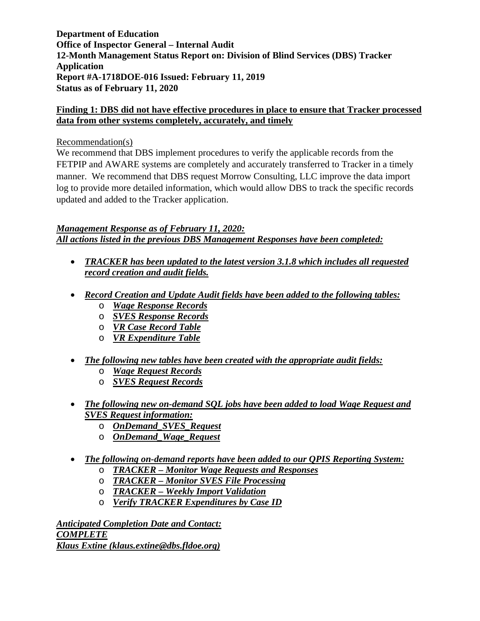**Department of Education Office of Inspector General – Internal Audit 12-Month Management Status Report on: Division of Blind Services (DBS) Tracker Application Report #A-1718DOE-016 Issued: February 11, 2019 Status as of February 11, 2020** 

### **Finding 1: DBS did not have effective procedures in place to ensure that Tracker processed data from other systems completely, accurately, and timely**

#### Recommendation(s)

We recommend that DBS implement procedures to verify the applicable records from the FETPIP and AWARE systems are completely and accurately transferred to Tracker in a timely manner. We recommend that DBS request Morrow Consulting, LLC improve the data import log to provide more detailed information, which would allow DBS to track the specific records updated and added to the Tracker application.

*Management Response as of February 11, 2020: All actions listed in the previous DBS Management Responses have been completed:* 

- *TRACKER has been updated to the latest version 3.1.8 which includes all requested record creation and audit fields.*
- *Record Creation and Update Audit fields have been added to the following tables:* 
	- o *Wage Response Records*
	- o *SVES Response Records*
	- o *VR Case Record Table*
	- o *VR Expenditure Table*
- *The following new tables have been created with the appropriate audit fields:* 
	- o *Wage Request Records*
	- o *SVES Request Records*
- *The following new on-demand SQL jobs have been added to load Wage Request and SVES Request information:*
	- o *OnDemand\_SVES\_Request*
	- o *OnDemand\_Wage\_Request*

### • *The following on-demand reports have been added to our QPIS Reporting System:*

- o *TRACKER Monitor Wage Requests and Responses*
- o *TRACKER Monitor SVES File Processing*
- o *TRACKER Weekly Import Validation*
- o *Verify TRACKER Expenditures by Case ID*

*Anticipated Completion Date and Contact: COMPLETE Klaus Extine (klaus.extine@dbs.fldoe.org)*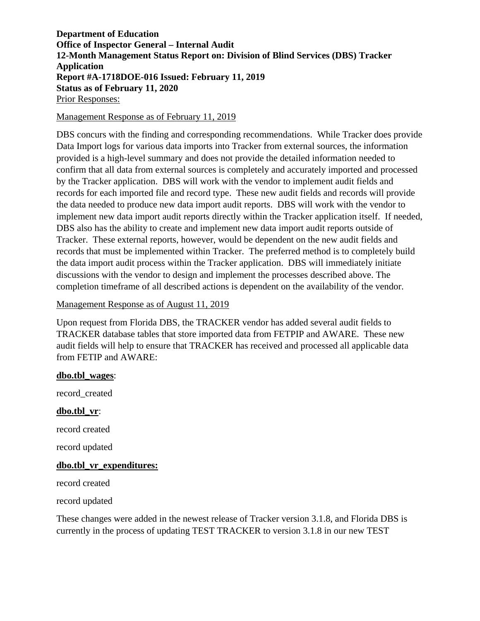**Department of Education Office of Inspector General – Internal Audit 12-Month Management Status Report on: Division of Blind Services (DBS) Tracker Application Report #A-1718DOE-016 Issued: February 11, 2019 Status as of February 11, 2020**  Prior Responses:

#### Management Response as of February 11, 2019

DBS concurs with the finding and corresponding recommendations. While Tracker does provide Data Import logs for various data imports into Tracker from external sources, the information provided is a high-level summary and does not provide the detailed information needed to confirm that all data from external sources is completely and accurately imported and processed by the Tracker application. DBS will work with the vendor to implement audit fields and records for each imported file and record type. These new audit fields and records will provide the data needed to produce new data import audit reports. DBS will work with the vendor to implement new data import audit reports directly within the Tracker application itself. If needed, DBS also has the ability to create and implement new data import audit reports outside of Tracker. These external reports, however, would be dependent on the new audit fields and records that must be implemented within Tracker. The preferred method is to completely build the data import audit process within the Tracker application. DBS will immediately initiate discussions with the vendor to design and implement the processes described above. The completion timeframe of all described actions is dependent on the availability of the vendor.

#### Management Response as of August 11, 2019

Upon request from Florida DBS, the TRACKER vendor has added several audit fields to TRACKER database tables that store imported data from FETPIP and AWARE. These new audit fields will help to ensure that TRACKER has received and processed all applicable data from FETIP and AWARE:

#### **dbo.tbl\_wages**:

record\_created

#### **dbo.tbl\_vr**:

record created

record updated

#### **dbo.tbl\_vr\_expenditures:**

record created

record updated

These changes were added in the newest release of Tracker version 3.1.8, and Florida DBS is currently in the process of updating TEST TRACKER to version 3.1.8 in our new TEST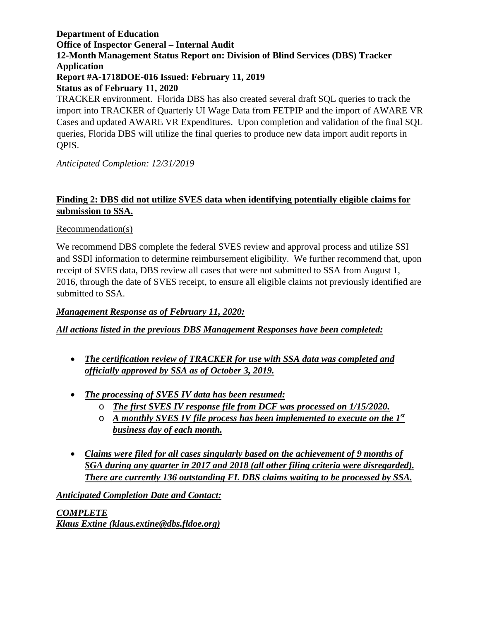# **Department of Education Office of Inspector General – Internal Audit 12-Month Management Status Report on: Division of Blind Services (DBS) Tracker Application Report #A-1718DOE-016 Issued: February 11, 2019 Status as of February 11, 2020**  TRACKER environment. Florida DBS has also created several draft SQL queries to track the

import into TRACKER of Quarterly UI Wage Data from FETPIP and the import of AWARE VR Cases and updated AWARE VR Expenditures. Upon completion and validation of the final SQL queries, Florida DBS will utilize the final queries to produce new data import audit reports in QPIS.

*Anticipated Completion: 12/31/2019*

## **Finding 2: DBS did not utilize SVES data when identifying potentially eligible claims for submission to SSA.**

### Recommendation(s)

We recommend DBS complete the federal SVES review and approval process and utilize SSI and SSDI information to determine reimbursement eligibility. We further recommend that, upon receipt of SVES data, DBS review all cases that were not submitted to SSA from August 1, 2016, through the date of SVES receipt, to ensure all eligible claims not previously identified are submitted to SSA.

### *Management Response as of February 11, 2020:*

### *All actions listed in the previous DBS Management Responses have been completed:*

- *The certification review of TRACKER for use with SSA data was completed and officially approved by SSA as of October 3, 2019.*
- *The processing of SVES IV data has been resumed:*
	- o *The first SVES IV response file from DCF was processed on 1/15/2020.*
	- o *A monthly SVES IV file process has been implemented to execute on the 1st business day of each month.*
- *Claims were filed for all cases singularly based on the achievement of 9 months of SGA during any quarter in 2017 and 2018 (all other filing criteria were disregarded). There are currently 136 outstanding FL DBS claims waiting to be processed by SSA.*

*Anticipated Completion Date and Contact:* 

*COMPLETE Klaus Extine (klaus.extine@dbs.fldoe.org)*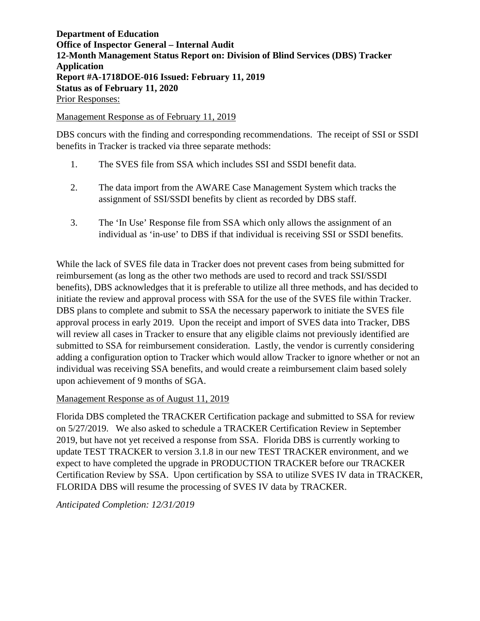**Department of Education Office of Inspector General – Internal Audit 12-Month Management Status Report on: Division of Blind Services (DBS) Tracker Application Report #A-1718DOE-016 Issued: February 11, 2019 Status as of February 11, 2020**  Prior Responses:

#### Management Response as of February 11, 2019

DBS concurs with the finding and corresponding recommendations. The receipt of SSI or SSDI benefits in Tracker is tracked via three separate methods:

- 1. The SVES file from SSA which includes SSI and SSDI benefit data.
- 2. The data import from the AWARE Case Management System which tracks the assignment of SSI/SSDI benefits by client as recorded by DBS staff.
- 3. The 'In Use' Response file from SSA which only allows the assignment of an individual as 'in-use' to DBS if that individual is receiving SSI or SSDI benefits.

While the lack of SVES file data in Tracker does not prevent cases from being submitted for reimbursement (as long as the other two methods are used to record and track SSI/SSDI benefits), DBS acknowledges that it is preferable to utilize all three methods, and has decided to initiate the review and approval process with SSA for the use of the SVES file within Tracker. DBS plans to complete and submit to SSA the necessary paperwork to initiate the SVES file approval process in early 2019. Upon the receipt and import of SVES data into Tracker, DBS will review all cases in Tracker to ensure that any eligible claims not previously identified are submitted to SSA for reimbursement consideration. Lastly, the vendor is currently considering adding a configuration option to Tracker which would allow Tracker to ignore whether or not an individual was receiving SSA benefits, and would create a reimbursement claim based solely upon achievement of 9 months of SGA.

### Management Response as of August 11, 2019

Florida DBS completed the TRACKER Certification package and submitted to SSA for review on 5/27/2019. We also asked to schedule a TRACKER Certification Review in September 2019, but have not yet received a response from SSA. Florida DBS is currently working to update TEST TRACKER to version 3.1.8 in our new TEST TRACKER environment, and we expect to have completed the upgrade in PRODUCTION TRACKER before our TRACKER Certification Review by SSA. Upon certification by SSA to utilize SVES IV data in TRACKER, FLORIDA DBS will resume the processing of SVES IV data by TRACKER.

*Anticipated Completion: 12/31/2019*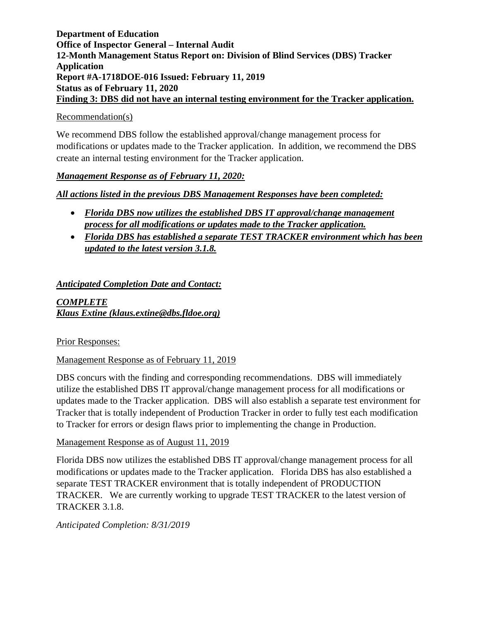### **Department of Education Office of Inspector General – Internal Audit 12-Month Management Status Report on: Division of Blind Services (DBS) Tracker Application Report #A-1718DOE-016 Issued: February 11, 2019 Status as of February 11, 2020 Finding 3: DBS did not have an internal testing environment for the Tracker application.**

### Recommendation(s)

We recommend DBS follow the established approval/change management process for modifications or updates made to the Tracker application. In addition, we recommend the DBS create an internal testing environment for the Tracker application.

### *Management Response as of February 11, 2020:*

### *All actions listed in the previous DBS Management Responses have been completed:*

- *Florida DBS now utilizes the established DBS IT approval/change management process for all modifications or updates made to the Tracker application.*
- *Florida DBS has established a separate TEST TRACKER environment which has been updated to the latest version 3.1.8.*

### *Anticipated Completion Date and Contact:*

*COMPLETE Klaus Extine (klaus.extine@dbs.fldoe.org)* 

Prior Responses:

Management Response as of February 11, 2019

DBS concurs with the finding and corresponding recommendations. DBS will immediately utilize the established DBS IT approval/change management process for all modifications or updates made to the Tracker application. DBS will also establish a separate test environment for Tracker that is totally independent of Production Tracker in order to fully test each modification to Tracker for errors or design flaws prior to implementing the change in Production.

### Management Response as of August 11, 2019

Florida DBS now utilizes the established DBS IT approval/change management process for all modifications or updates made to the Tracker application. Florida DBS has also established a separate TEST TRACKER environment that is totally independent of PRODUCTION TRACKER. We are currently working to upgrade TEST TRACKER to the latest version of TRACKER 3.1.8.

*Anticipated Completion: 8/31/2019*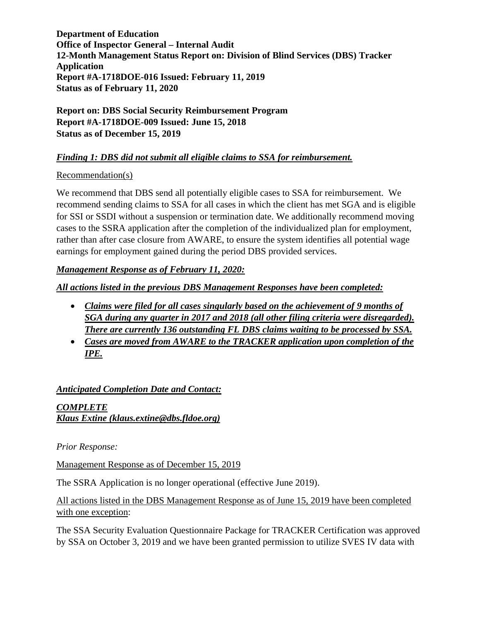**Department of Education Office of Inspector General – Internal Audit 12-Month Management Status Report on: Division of Blind Services (DBS) Tracker Application Report #A-1718DOE-016 Issued: February 11, 2019 Status as of February 11, 2020** 

**Report on: DBS Social Security Reimbursement Program Report #A-1718DOE-009 Issued: June 15, 2018 Status as of December 15, 2019** 

## *Finding 1: DBS did not submit all eligible claims to SSA for reimbursement.*

### Recommendation(s)

We recommend that DBS send all potentially eligible cases to SSA for reimbursement. We recommend sending claims to SSA for all cases in which the client has met SGA and is eligible for SSI or SSDI without a suspension or termination date. We additionally recommend moving cases to the SSRA application after the completion of the individualized plan for employment, rather than after case closure from AWARE, to ensure the system identifies all potential wage earnings for employment gained during the period DBS provided services.

## *Management Response as of February 11, 2020:*

*All actions listed in the previous DBS Management Responses have been completed:*

- *Claims were filed for all cases singularly based on the achievement of 9 months of SGA during any quarter in 2017 and 2018 (all other filing criteria were disregarded). There are currently 136 outstanding FL DBS claims waiting to be processed by SSA.*
- *Cases are moved from AWARE to the TRACKER application upon completion of the IPE.*

*Anticipated Completion Date and Contact:* 

*COMPLETE Klaus Extine (klaus.extine@dbs.fldoe.org)* 

*Prior Response:*

Management Response as of December 15, 2019

The SSRA Application is no longer operational (effective June 2019).

All actions listed in the DBS Management Response as of June 15, 2019 have been completed with one exception:

The SSA Security Evaluation Questionnaire Package for TRACKER Certification was approved by SSA on October 3, 2019 and we have been granted permission to utilize SVES IV data with